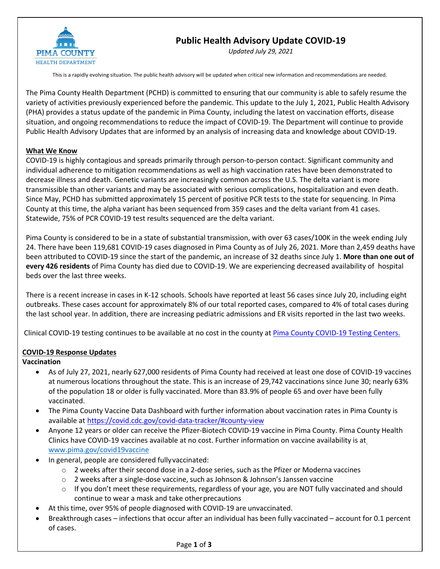

# **Public Health Advisory Update COVID-19**

*Updated July 29, 2021*

This is a rapidly evolving situation. The public health advisory will be updated when critical new information and recommendations are needed.

The Pima County Health Department (PCHD) is committed to ensuring that our community is able to safely resume the variety of activities previously experienced before the pandemic. This update to the July 1, 2021, Public Health Advisory (PHA) provides a status update of the pandemic in Pima County, including the latest on vaccination efforts, disease situation, and ongoing recommendations to reduce the impact of COVID-19. The Department will continue to provide Public Health Advisory Updates that are informed by an analysis of increasing data and knowledge about COVID-19.

#### **What We Know**

COVID-19 is highly contagious and spreads primarily through person-to-person contact. Significant community and individual adherence to mitigation recommendations as well as high vaccination rates have been demonstrated to decrease illness and death. Genetic variants are increasingly common across the U.S. The delta variant is more transmissible than other variants and may be associated with serious complications, hospitalization and even death. Since May, PCHD has submitted approximately 15 percent of positive PCR tests to the state for sequencing. In Pima County at this time, the alpha variant has been sequenced from 359 cases and the delta variant from 41 cases. Statewide, 75% of PCR COVID-19 test results sequenced are the delta variant.

Pima County is considered to be in a state of substantial transmission, with over 63 cases/100K in the week ending July 24. There have been 119,681 COVID-19 cases diagnosed in Pima County as of July 26, 2021. More than 2,459 deaths have been attributed to COVID-19 since the start of the pandemic, an increase of 32 deaths since July 1. **More than one out of every 426 residents** of Pima County has died due to COVID-19. We are experiencing decreased availability of hospital beds over the last three weeks.

There is a recent increase in cases in K-12 schools. Schools have reported at least 56 cases since July 20, including eight outbreaks. These cases account for approximately 8% of our total reported cases, compared to 4% of total cases during the last school year. In addition, there are increasing pediatric admissions and ER visits reported in the last two weeks.

Clinical COVID-19 testing continues to be available at no cost in the county at Pima County COVID-19 Testing Centers.

#### **COVID-19 Response Updates**

#### **Vaccination**

- As of July 27, 2021, nearly 627,000 residents of Pima County had received at least one dose of COVID-19 vaccines at numerous locations throughout the state. This is an increase of 29,742 vaccinations since June 30; nearly 63% of the population 18 or older is fully vaccinated. More than 83.9% of people 65 and over have been fully vaccinated.
- The Pima County Vaccine Data Dashboard with further information about vaccination rates in Pima County is available at https://covid.cdc.gov/covid-data-tracker/#county-view
- Anyone 12 years or older can receive the Pfizer-Biotech COVID-19 vaccine in Pima County. Pima County Health Clinics have COVID-19 vaccines available at no cost. Further information on vaccine availability is at www.pima.gov/covid19vaccine
- In general, people are considered fullyvaccinated:
	- o 2 weeks after their second dose in a 2-dose series, such as the Pfizer or Moderna vaccines
	- o 2 weeks after a single-dose vaccine, such as Johnson & Johnson's Janssen vaccine
	- $\circ$  If you don't meet these requirements, regardless of your age, you are NOT fully vaccinated and should continue to wear a mask and take other precautions
	- At this time, over 95% of people diagnosed with COVID-19 are unvaccinated.
- Breakthrough cases infections that occur after an individual has been fully vaccinated account for 0.1 percent of cases.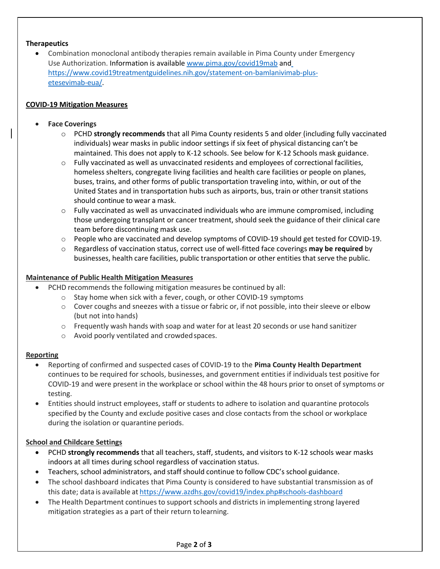## **Therapeutics**

• Combination monoclonal antibody therapies remain available in Pima County under Emergency Use Authorization. Information is available www.pima.gov/covid19mab and https://www.covid19treatmentguidelines.nih.gov/statement-on-bamlanivimab-plusetesevimab-eua/.

## **COVID-19 Mitigation Measures**

## • **Face Coverings**

- o PCHD **strongly recommends** that all Pima County residents 5 and older (including fully vaccinated individuals) wear masks in public indoor settings if six feet of physical distancing can't be maintained. This does not apply to K-12 schools. See below for K-12 Schools mask guidance.
- $\circ$  Fully vaccinated as well as unvaccinated residents and employees of correctional facilities, homeless shelters, congregate living facilities and health care facilities or people on planes, buses, trains, and other forms of public transportation traveling into, within, or out of the United States and in transportation hubs such as airports, bus, train or other transit stations should continue to wear a mask.
- $\circ$  Fully vaccinated as well as unvaccinated individuals who are immune compromised, including those undergoing transplant or cancer treatment, should seek the guidance of their clinical care team before discontinuing mask use.
- $\circ$  People who are vaccinated and develop symptoms of COVID-19 should get tested for COVID-19.
- o Regardless of vaccination status, correct use of well-fitted face coverings **may be required** by businesses, health care facilities, public transportation or other entities that serve the public.

#### **Maintenance of Public Health Mitigation Measures**

- PCHD recommends the following mitigation measures be continued by all:
	- o Stay home when sick with a fever, cough, or other COVID-19 symptoms
	- $\circ$  Cover coughs and sneezes with a tissue or fabric or, if not possible, into their sleeve or elbow (but not into hands)
	- o Frequently wash hands with soap and water for at least 20 seconds or use hand sanitizer
	- o Avoid poorly ventilated and crowdedspaces.

#### **Reporting**

- Reporting of confirmed and suspected cases of COVID-19 to the **Pima County Health Department**  continues to be required for schools, businesses, and government entities if individuals test positive for COVID-19 and were present in the workplace or school within the 48 hours prior to onset of symptoms or testing.
- Entities should instruct employees, staff or students to adhere to isolation and quarantine protocols specified by the County and exclude positive cases and close contacts from the school or workplace during the isolation or quarantine periods.

## **School and Childcare Settings**

- PCHD **strongly recommends** that all teachers, staff, students, and visitors to K-12 schools wear masks indoors at all times during school regardless of vaccination status.
- Teachers, school administrators, and staff should continue to follow CDC's school guidance.
- The school dashboard indicates that Pima County is considered to have substantial transmission as of this date; data is available at https://www.azdhs.gov/covid19/index.php#schools-dashboard
- The Health Department continues to support schools and districts in implementing strong layered mitigation strategies as a part of their return tolearning.